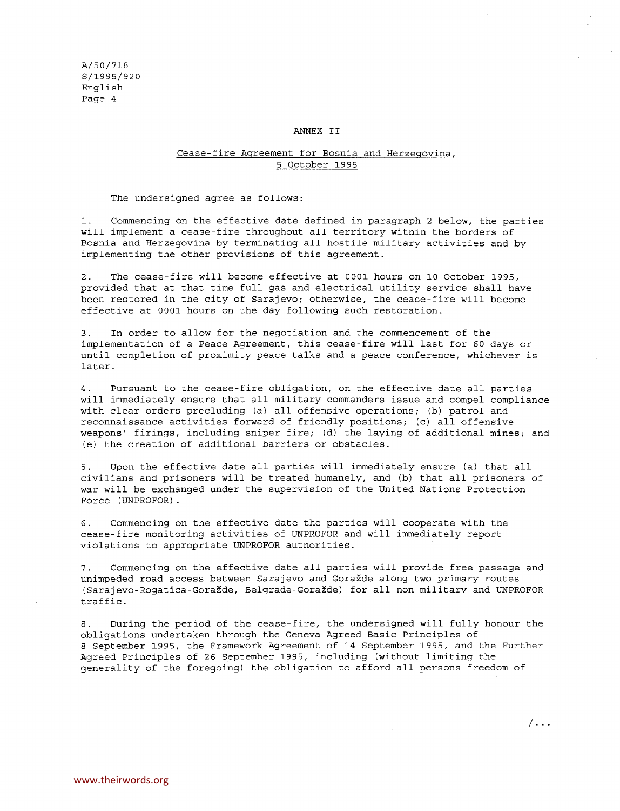## ANNEX II

## Cease-fire Agreement for Bosnia and Herzegovina, 5 October 1995

The undersigned agree as follows:

1. Commencing on the effective date defined in paragraph 2 below, the parties will implement a cease-fire throughout all territory within the borders of Bosnia and Herzegovina by terminating all hostile military activities and by implementing the other provisions of this agreement.

2. The cease-fire will become effective at 0001 hours on 10 October 1995, provided that at that time full gas and electrical utility service shall have been restored in the city of Sarajevo; otherwise, the cease-fire will become effective at 0001 hours on the day following such restoration.

3. In order to allow for the negotiation and the commencement of the implementation of a Peace Agreement, this cease-fire will last for 60 days or until completion of proximity peace talks and a peace conference, whichever is later.

4. Pursuant to the cease-fire obligation, on the effective date all parties will immediately ensure that all military commanders issue and compel compliance with clear orders precluding (a) all offensive operations; (b) patrol and reconnaissance activities forward of friendly positions; (c) all offensive weapons' firings, including sniper fire; (d) the laying of additional mines; and (e) the creation of additional barriers or obstacles.

5. Upon the effective date all parties will immediately ensure (a) that all civilians and prisoners will be treated humanely, and (b) that all prisoners of war will be exchanged under the supervision of the United Nations Protection Force (UNPROFOR).

6. Commencing on the effective date the parties will cooperate with the cease-fire monitoring activities of UNPROFOR and will immediately report violations to appropriate UNPROFOR authorities.

7. Commencing on the effective date all parties will provide free passage and unimpeded road access between Sarajevo and Goražde along two primary routes (Sarajevo-Rogatica-Gorazde, Belgrade-Gorazde) for all non-military and UNPROFOR traffic.

8. During the period of the cease-fire, the undersigned will fully honour the obligations undertaken through the Geneva Agreed Basic Principles of 8 September 1995, the Framework Agreement of 14 September 1995, and the Further Agreed Principles of 26 September 1995, including (without limiting the generality of the foregoing) the obligation to afford all persons freedom of

/--.